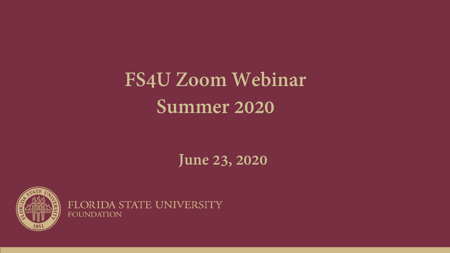### **FS4U Zoom Webinar Summer 2020**

### **June 23, 2020**



FLORIDA STATE UNIVERSITY **FOUNDATION**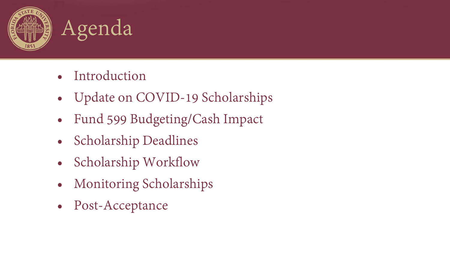



- Introduction
- Update on COVID-19 Scholarships
- Fund 599 Budgeting/Cash Impact
- Scholarship Deadlines
- Scholarship Workflow
- Monitoring Scholarships
- Post-Acceptance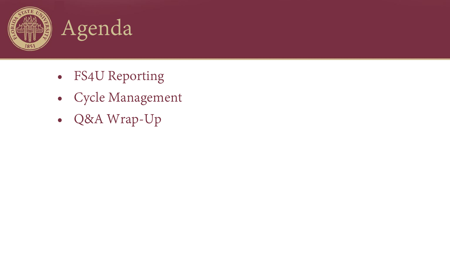



- FS4U Reporting
- Cycle Management
- Q&A Wrap-Up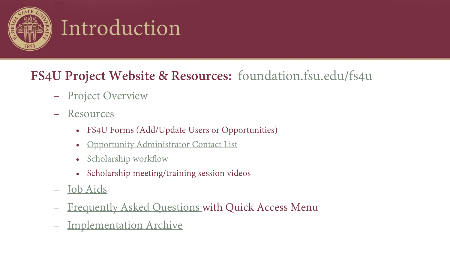

### Introduction

### **FS4U Project Website & Resources:** foundation.fsu.edu/fs4u

- [Project Overview](https://foundation.fsu.edu/fs4u/resources)
- [Resources](https://foundation.fsu.edu/fs4u/resources)
	- FS4U Forms (Add/Update Users or Opportunities)
	- [Opportunity Administrator Contact List](https://foundation.fsu.edu/sites/foundation.fsu.edu/files/documents/forms-and-resources/FS4U-Opportunity-Administrator-Contacts.pdf)
	- [Scholarship workflow](https://foundation.fsu.edu/sites/foundation.fsu.edu/files/documents/forms-and-resources/AcademicWorks-Administrator-Workflow.pdf)
	- Scholarship meeting/training session videos
- [Job Aids](https://foundation.fsu.edu/fs4u/job-aids)
- [Frequently Asked Questions w](https://foundation.fsu.edu/fs4u/faq)ith Quick Access Menu
- [Implementation Archive](https://foundation.fsu.edu/implementation-archive)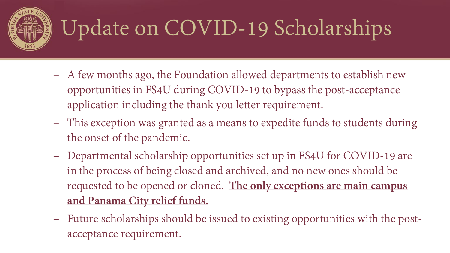

# Update on COVID-19 Scholarships

- A few months ago, the Foundation allowed departments to establish new opportunities in FS4U during COVID-19 to bypass the post-acceptance application including the thank you letter requirement.
- This exception was granted as a means to expedite funds to students during the onset of the pandemic.
- Departmental scholarship opportunities set up in FS4U for COVID-19 are in the process of being closed and archived, and no new ones should be requested to be opened or cloned. **The only exceptions are main campus and Panama City relief funds.**
- Future scholarships should be issued to existing opportunities with the postacceptance requirement.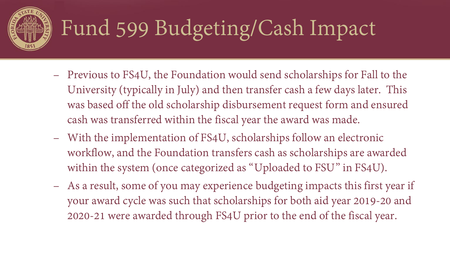

## Fund 599 Budgeting/Cash Impact

- Previous to FS4U, the Foundation would send scholarships for Fall to the University (typically in July) and then transfer cash a few days later. This was based off the old scholarship disbursement request form and ensured cash was transferred within the fiscal year the award was made.
- With the implementation of FS4U, scholarships follow an electronic workflow, and the Foundation transfers cash as scholarships are awarded within the system (once categorized as "Uploaded to FSU" in FS4U).
- As a result, some of you may experience budgeting impacts this first year if your award cycle was such that scholarships for both aid year 2019-20 and 2020-21 were awarded through FS4U prior to the end of the fiscal year.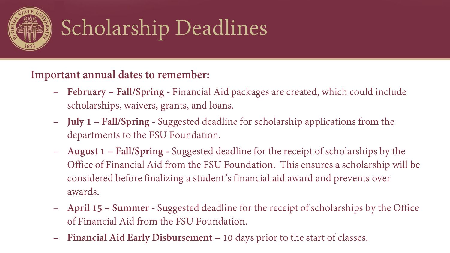

**Important annual dates to remember:**

- **February – Fall/Spring -** Financial Aid packages are created, which could include scholarships, waivers, grants, and loans.
- **July 1 – Fall/Spring -** Suggested deadline for scholarship applications from the departments to the FSU Foundation.
- **August 1 – Fall/Spring -** Suggested deadline for the receipt of scholarships by the Office of Financial Aid from the FSU Foundation. This ensures a scholarship will be considered before finalizing a student's financial aid award and prevents over awards.
- **April 15 – Summer -** Suggested deadline for the receipt of scholarships by the Office of Financial Aid from the FSU Foundation.
- **Financial Aid Early Disbursement –** 10 days prior to the start of classes.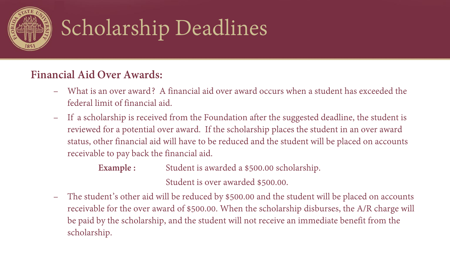

#### **Financial Aid Over Awards:**

- What is an over award? A financial aid over award occurs when a student has exceeded the federal limit of financial aid.
- If a scholarship is received from the Foundation after the suggested deadline, the student is reviewed for a potential over award. If the scholarship places the student in an over award status, other financial aid will have to be reduced and the student will be placed on accounts receivable to pay back the financial aid.
	- **Example :** Student is awarded a \$500.00 scholarship. Student is over awarded \$500.00.
- The student's other aid will be reduced by \$500.00 and the student will be placed on accounts receivable for the over award of \$500.00. When the scholarship disburses, the A/R charge will be paid by the scholarship, and the student will not receive an immediate benefit from the scholarship.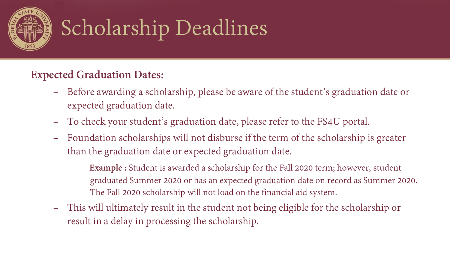

### **Expected Graduation Dates:**

- Before awarding a scholarship, please be aware of the student's graduation date or expected graduation date.
- To check your student's graduation date, please refer to the FS4U portal.
- Foundation scholarships will not disburse if the term of the scholarship is greater than the graduation date or expected graduation date.
	- **Example :** Student is awarded a scholarship for the Fall 2020 term; however, student graduated Summer 2020 or has an expected graduation date on record as Summer 2020. The Fall 2020 scholarship will not load on the financial aid system.
- This will ultimately result in the student not being eligible for the scholarship or result in a delay in processing the scholarship.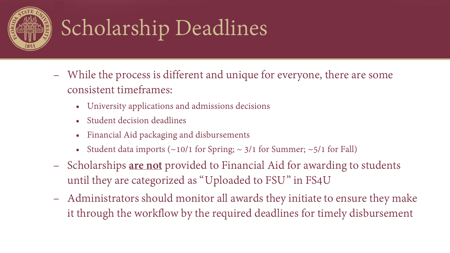

- While the process is different and unique for everyone, there are some consistent timeframes:
	- University applications and admissions decisions
	- Student decision deadlines
	- Financial Aid packaging and disbursements
	- Student data imports  $(\sim 10/1$  for Spring;  $\sim 3/1$  for Summer;  $\sim 5/1$  for Fall)
- Scholarships **are not** provided to Financial Aid for awarding to students until they are categorized as "Uploaded to FSU" in FS4U
- Administrators should monitor all awards they initiate to ensure they make it through the workflow by the required deadlines for timely disbursement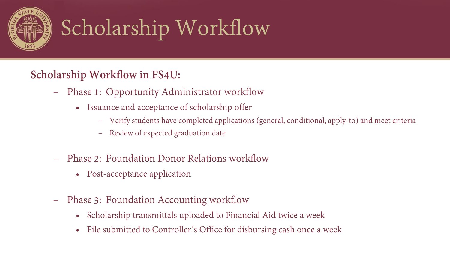

# Scholarship Workflow

### **Scholarship Workflow in FS4U:**

- Phase 1: Opportunity Administrator workflow
	- Issuance and acceptance of scholarship offer
		- Verify students have completed applications (general, conditional, apply-to) and meet criteria
		- Review of expected graduation date
- Phase 2: Foundation Donor Relations workflow
	- Post-acceptance application
- Phase 3: Foundation Accounting workflow
	- Scholarship transmittals uploaded to Financial Aid twice a week
	- File submitted to Controller's Office for disbursing cash once a week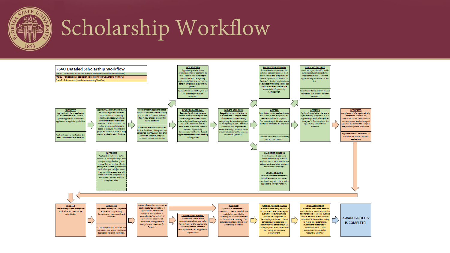

# Scholarship Workflow

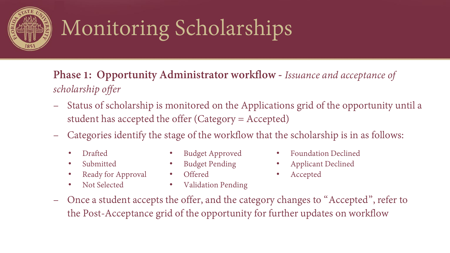

**Phase 1: Opportunity Administrator workflow -** *Issuance and acceptance of scholarship offer*

- Status of scholarship is monitored on the Applications grid of the opportunity until a student has accepted the offer (Category = Accepted)
- Categories identify the stage of the workflow that the scholarship is in as follows:
	- Drafted
	- Submitted
	- Ready for Approval
	- Not Selected
- Budget Approved
- Budget Pending
- Offered
	-
- Validation Pending
- Foundation Declined
- Applicant Declined
- Accepted
- Once a student accepts the offer, and the category changes to "Accepted", refer to the Post-Acceptance grid of the opportunity for further updates on workflow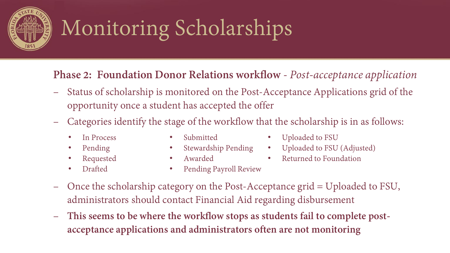

### **Phase 2: Foundation Donor Relations workflow** - *Post-acceptance application*

- Status of scholarship is monitored on the Post-Acceptance Applications grid of the opportunity once a student has accepted the offer
- Categories identify the stage of the workflow that the scholarship is in as follows:
	- In Process
	- Pending
	- Requested
	- Drafted
- Submitted
- Stewardship Pending
- Awarded
- Uploaded to FSU
- Uploaded to FSU (Adjusted)
- Returned to Foundation
- Pending Payroll Review
- Once the scholarship category on the Post-Acceptance grid = Uploaded to FSU, administrators should contact Financial Aid regarding disbursement
- **This seems to be where the workflow stops as students fail to complete postacceptance applications and administrators often are not monitoring**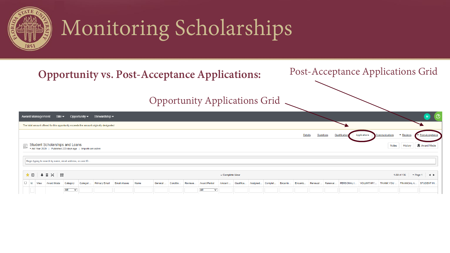

**Opportunity vs. Post-Acceptance Applications:**

#### Post-Acceptance Applications Grid

Opportunity Applications Grid

|           |      | Award Management Site $\blacktriangleright$                                                       |                  |          | Opportunity $\blacktriangledown$ Stewardship $\blacktriangledown$                      |      |          |          |         |                     |                 |           |                  |        |                |                  |         |              |              |                |             | $\omega$                 |
|-----------|------|---------------------------------------------------------------------------------------------------|------------------|----------|----------------------------------------------------------------------------------------|------|----------|----------|---------|---------------------|-----------------|-----------|------------------|--------|----------------|------------------|---------|--------------|--------------|----------------|-------------|--------------------------|
|           |      |                                                                                                   |                  |          | The total amount offered for this opportunity exceeds the amount originally designated |      |          |          |         |                     |                 |           |                  |        |                |                  |         |              |              |                |             |                          |
|           |      |                                                                                                   |                  |          |                                                                                        |      |          |          |         |                     |                 |           |                  |        | <b>Details</b> | <b>Questions</b> |         | Qualificatio | Applications | Communications | ▼ Reviews   | Post-Acceptance          |
|           |      | Student Scholarships and Loans<br>Fix Aid Year 2020   Published 223 days ago   Imports are active |                  |          |                                                                                        |      |          |          |         |                     |                 |           |                  |        |                |                  |         |              |              | <b>Notes</b>   | History     | <b>Q</b> Award Mode      |
|           |      | Begin typing to search by name, email address, or user ID                                         |                  |          |                                                                                        |      |          |          |         |                     |                 |           |                  |        |                |                  |         |              |              |                |             |                          |
|           |      | $\star \mathbb{D}$                                                                                |                  |          |                                                                                        |      |          |          |         |                     | - Complete View |           |                  |        |                |                  |         |              |              |                |             | 1-50 of 136 ▼ Page 1 4 ▶ |
| $\Box$ Id | View | <b>Award Mode</b>                                                                                 | Category         | Categori | Primary Email Email Aliases                                                            | Name | General. | Conditio | Reviewe | <b>Award Period</b> | Amount          | Qualifica | Assigned Complet | Encumb | Encumb         | Renewal          | Renewal | PERSONAL I   | VOLUNTARY    | THANK YOU.     | FINANCIAL A | STUDENT IN.              |
|           |      |                                                                                                   | $All \quad \vee$ |          |                                                                                        |      |          |          |         | All<br>$\checkmark$ |                 |           |                  |        |                |                  |         |              |              |                |             |                          |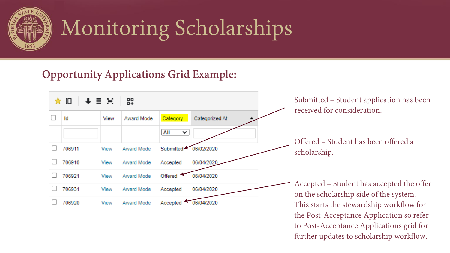

### **Opportunity Applications Grid Example:**



to Post-Acceptance Applications grid for further updates to scholarship workflow.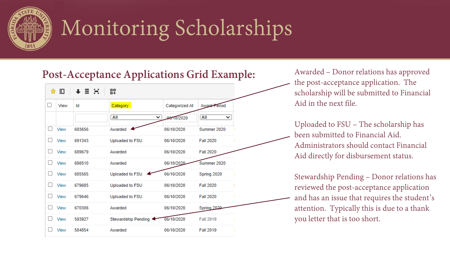

#### **Post-Acceptance Applications Grid Example:**

|              | ★ 旧  | $+ \equiv \Xi$ | 89                  |                |                     |
|--------------|------|----------------|---------------------|----------------|---------------------|
| O            | View | Id             | Category            | Categorized At | <b>Award Period</b> |
|              |      |                | All<br>◡            | 06/10/2020     | All<br>◡            |
| П            | View | 693656         | Awarded             | 06/10/2020     | Summer 2020         |
| Ιl           | View | 691343         | Uploaded to FSU     | 06/10/2020     | <b>Fall 2020</b>    |
| Ιl           | View | 689679         | Awarded             | 06/10/2020     | <b>Fall 2020</b>    |
| Ιl           | View | 686510         | Awarded             | 06/10/2020     | Summer 2020         |
| H            | View | 685565         | Uploaded to FSU     | 06/10/2020     | Spring 2020         |
| Ιl           | View | 679685         | Uploaded to FSU     | 06/10/2020     | <b>Fall 2020</b>    |
| $\mathsf{L}$ | View | 679646         | Uploaded to FSU     | 06/10/2020     | <b>Fall 2020</b>    |
| П            | View | 670306         | Awarded             | 06/10/2020     | Spring 2020         |
| $\mathbf{I}$ | View | 593927         | Stewardship Pending | 06/10/2020     | <b>Fall 2019</b>    |
|              | View | 584854         | Awarded             | 06/10/2020     | <b>Fall 2019</b>    |

Awarded – Donor relations has approved the post-acceptance application. The scholarship will be submitted to Financial Aid in the next file.

Uploaded to FSU – The scholarship has been submitted to Financial Aid. Administrators should contact Financial Aid directly for disbursement status.

Stewardship Pending – Donor relations has reviewed the post-acceptance application and has an issue that requires the student's attention. Typically this is due to a thank you letter that is too short.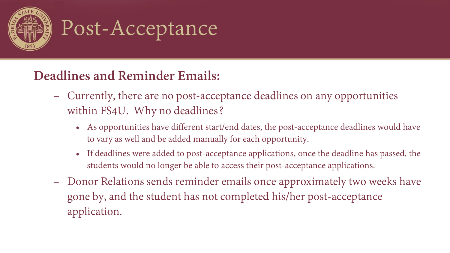

### Post-Acceptance

### **Deadlines and Reminder Emails:**

- Currently, there are no post-acceptance deadlines on any opportunities within FS4U. Why no deadlines?
	- As opportunities have different start/end dates, the post-acceptance deadlines would have to vary as well and be added manually for each opportunity.
	- If deadlines were added to post-acceptance applications, once the deadline has passed, the students would no longer be able to access their post-acceptance applications.
- Donor Relations sends reminder emails once approximately two weeks have gone by, and the student has not completed his/her post-acceptance application.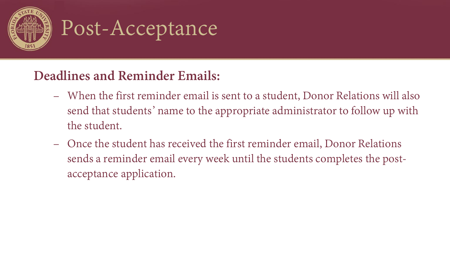

### Post-Acceptance

### **Deadlines and Reminder Emails:**

- When the first reminder email is sent to a student, Donor Relations will also send that students' name to the appropriate administrator to follow up with the student.
- Once the student has received the first reminder email, Donor Relations sends a reminder email every week until the students completes the postacceptance application.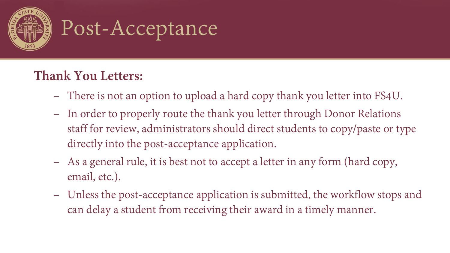

### Post-Acceptance

### **Thank You Letters:**

- There is not an option to upload a hard copy thank you letter into FS4U.
- In order to properly route the thank you letter through Donor Relations staff for review, administrators should direct students to copy/paste or type directly into the post-acceptance application.
- As a general rule, it is best not to accept a letter in any form (hard copy, email, etc.).
- Unless the post-acceptance application is submitted, the workflow stops and can delay a student from receiving their award in a timely manner.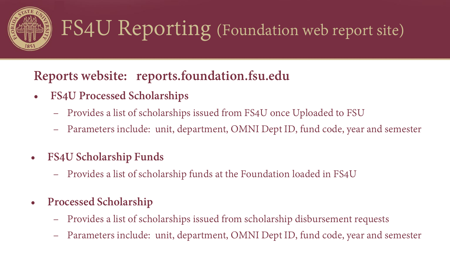

### FS4U Reporting (Foundation web report site)

### **Reports website: reports.foundation.fsu.edu**

- **FS4U Processed Scholarships**
	- Provides a list of scholarships issued from FS4U once Uploaded to FSU
	- Parameters include: unit, department, OMNI Dept ID, fund code, year and semester
- **FS4U Scholarship Funds**
	- Provides a list of scholarship funds at the Foundation loaded in FS4U
- **Processed Scholarship**
	- Provides a list of scholarships issued from scholarship disbursement requests
	- Parameters include: unit, department, OMNI Dept ID, fund code, year and semester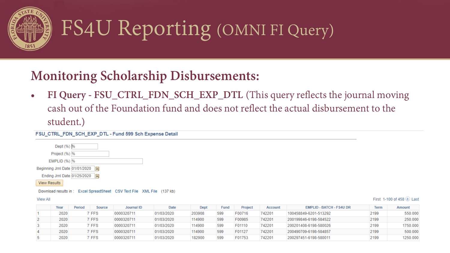

### FS4U Reporting (OMNI FI Query)

### **Monitoring Scholarship Disbursements:**

• **FI Query - FSU\_CTRL\_FDN\_SCH\_EXP\_DTL** (This query reflects the journal moving cash out of the Foundation fund and does not reflect the actual disbursement to the student.)

#### FSU\_CTRL\_FDN\_SCH\_EXP\_DTL - Fund 599 Sch Expense Detail

| Dept (%) %                     |    |
|--------------------------------|----|
| Project (%) %                  |    |
| EMPLID (%)  %                  |    |
| Beginning Jrnl Date 01/01/2020 | Þί |
| Ending Jrnl Date 01/25/2020    | BL |
| <b>View Results</b>            |    |

#### Download results in: Excel SpreadSheet CSV Text File XML File (137 kb)

#### **View All**

First 1-100 of 458 (b) Last

|   | Year | <b>Period</b> | Source     | Journal ID | Date       | <b>Dept</b> | Fund | <b>Project</b> | Account | <b>EMPLID - BATCH - FS4U DR</b> | Term | Amount   |
|---|------|---------------|------------|------------|------------|-------------|------|----------------|---------|---------------------------------|------|----------|
|   | 2020 |               | <b>FFS</b> | 0000320711 | 01/03/2020 | 203908      | 599  | F00716         | 742201  | 100458849-6201-513292           | 2199 | 550.000  |
|   | 2020 |               | <b>FFS</b> | 0000320711 | 01/03/2020 | 114900      | 599  | F00985         | 742201  | 200199846-6198-584522           | 2199 | 250.000  |
|   | 2020 |               | <b>FFS</b> | 0000320711 | 01/03/2020 | 114900      | 599  | F01110         | 742201  | 200201408-6198-580026           | 2199 | 1750.000 |
| 4 | 2020 |               | <b>FFS</b> | 0000320711 | 01/03/2020 | 114900      | 599  | F01127         | 742201  | 200490709-6198-584857           | 2199 | 500.000  |
|   | 2020 |               | <b>FFS</b> | 0000320711 | 01/03/2020 | 182900      | 599  | F01753         | 742201  | 200297451-6198-580011           | 2199 | (250,000 |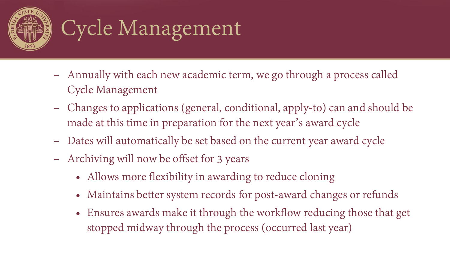

# Cycle Management

- Annually with each new academic term, we go through a process called Cycle Management
- Changes to applications (general, conditional, apply-to) can and should be made at this time in preparation for the next year's award cycle
- Dates will automatically be set based on the current year award cycle
- Archiving will now be offset for 3 years
	- Allows more flexibility in awarding to reduce cloning
	- Maintains better system records for post-award changes or refunds
	- Ensures awards make it through the workflow reducing those that get stopped midway through the process (occurred last year)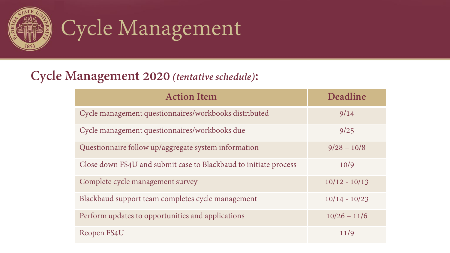

## Cycle Management

### **Cycle Management 2020** *(tentative schedule)***:**

| <b>Action Item</b>                                               | Deadline        |
|------------------------------------------------------------------|-----------------|
| Cycle management questionnaires/workbooks distributed            | 9/14            |
| Cycle management questionnaires/workbooks due                    | 9/25            |
| Questionnaire follow up/aggregate system information             | $9/28 - 10/8$   |
| Close down FS4U and submit case to Blackbaud to initiate process | 10/9            |
| Complete cycle management survey                                 | $10/12 - 10/13$ |
| Blackbaud support team completes cycle management                | $10/14 - 10/23$ |
| Perform updates to opportunities and applications                | $10/26 - 11/6$  |
| Reopen FS4U                                                      | 11/9            |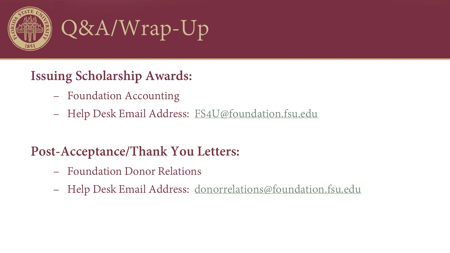



### **Issuing Scholarship Awards:**

- Foundation Accounting
- Help Desk Email Address: [FS4U@foundation.fsu.edu](mailto:FS4U@foundation.fsu.edu)

### **Post-Acceptance/Thank You Letters:**

- Foundation Donor Relations
- Help Desk Email Address: [donorrelations@foundation.fsu.edu](mailto:donorrelations@foundation.fsu.edu)